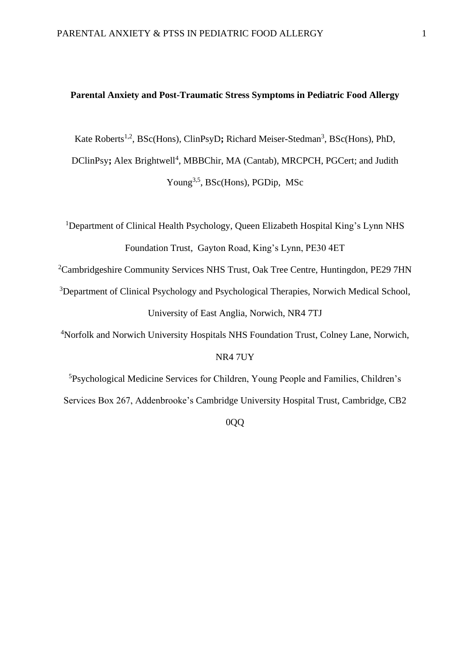#### **Parental Anxiety and Post-Traumatic Stress Symptoms in Pediatric Food Allergy**

Kate Roberts<sup>1,2</sup>, BSc(Hons), ClinPsyD; Richard Meiser-Stedman<sup>3</sup>, BSc(Hons), PhD,

DClinPsy; Alex Brightwell<sup>4</sup>, MBBChir, MA (Cantab), MRCPCH, PGCert; and Judith Young<sup>3,5</sup>, BSc(Hons), PGDip, MSc

<sup>1</sup>Department of Clinical Health Psychology, Queen Elizabeth Hospital King's Lynn NHS Foundation Trust, Gayton Road, King's Lynn, PE30 4ET

<sup>2</sup>Cambridgeshire Community Services NHS Trust, Oak Tree Centre, Huntingdon, PE29 7HN

<sup>3</sup>Department of Clinical Psychology and Psychological Therapies, Norwich Medical School, University of East Anglia, Norwich, NR4 7TJ

<sup>4</sup>Norfolk and Norwich University Hospitals NHS Foundation Trust, Colney Lane, Norwich, NR4 7UY

<sup>5</sup>Psychological Medicine Services for Children, Young People and Families, Children's Services Box 267, Addenbrooke's Cambridge University Hospital Trust, Cambridge, CB2

0QQ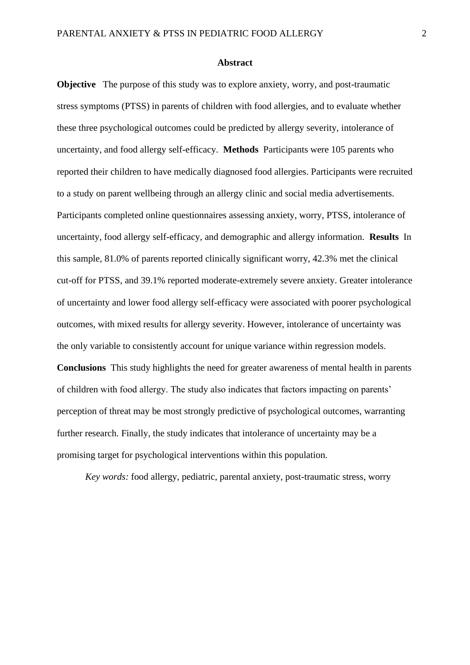#### **Abstract**

**Objective** The purpose of this study was to explore anxiety, worry, and post-traumatic stress symptoms (PTSS) in parents of children with food allergies, and to evaluate whether these three psychological outcomes could be predicted by allergy severity, intolerance of uncertainty, and food allergy self-efficacy. **Methods** Participants were 105 parents who reported their children to have medically diagnosed food allergies. Participants were recruited to a study on parent wellbeing through an allergy clinic and social media advertisements. Participants completed online questionnaires assessing anxiety, worry, PTSS, intolerance of uncertainty, food allergy self-efficacy, and demographic and allergy information. **Results** In this sample, 81.0% of parents reported clinically significant worry, 42.3% met the clinical cut-off for PTSS, and 39.1% reported moderate-extremely severe anxiety. Greater intolerance of uncertainty and lower food allergy self-efficacy were associated with poorer psychological outcomes, with mixed results for allergy severity. However, intolerance of uncertainty was the only variable to consistently account for unique variance within regression models. **Conclusions** This study highlights the need for greater awareness of mental health in parents of children with food allergy. The study also indicates that factors impacting on parents' perception of threat may be most strongly predictive of psychological outcomes, warranting further research. Finally, the study indicates that intolerance of uncertainty may be a promising target for psychological interventions within this population.

*Key words:* food allergy, pediatric, parental anxiety, post-traumatic stress, worry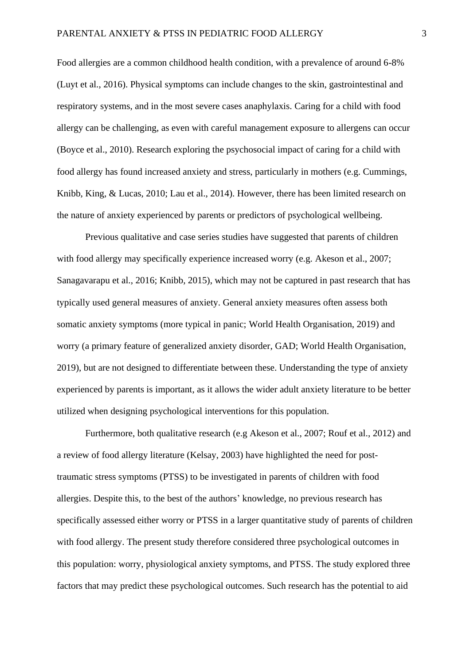Food allergies are a common childhood health condition, with a prevalence of around 6-8% (Luyt et al., 2016). Physical symptoms can include changes to the skin, gastrointestinal and respiratory systems, and in the most severe cases anaphylaxis. Caring for a child with food allergy can be challenging, as even with careful management exposure to allergens can occur (Boyce et al., 2010). Research exploring the psychosocial impact of caring for a child with food allergy has found increased anxiety and stress, particularly in mothers (e.g. Cummings, Knibb, King, & Lucas, 2010; Lau et al., 2014). However, there has been limited research on the nature of anxiety experienced by parents or predictors of psychological wellbeing.

Previous qualitative and case series studies have suggested that parents of children with food allergy may specifically experience increased worry (e.g. Akeson et al., 2007; Sanagavarapu et al., 2016; Knibb, 2015), which may not be captured in past research that has typically used general measures of anxiety. General anxiety measures often assess both somatic anxiety symptoms (more typical in panic; World Health Organisation, 2019) and worry (a primary feature of generalized anxiety disorder, GAD; World Health Organisation, 2019), but are not designed to differentiate between these. Understanding the type of anxiety experienced by parents is important, as it allows the wider adult anxiety literature to be better utilized when designing psychological interventions for this population.

Furthermore, both qualitative research (e.g Akeson et al., 2007; Rouf et al., 2012) and a review of food allergy literature (Kelsay, 2003) have highlighted the need for posttraumatic stress symptoms (PTSS) to be investigated in parents of children with food allergies. Despite this, to the best of the authors' knowledge, no previous research has specifically assessed either worry or PTSS in a larger quantitative study of parents of children with food allergy. The present study therefore considered three psychological outcomes in this population: worry, physiological anxiety symptoms, and PTSS. The study explored three factors that may predict these psychological outcomes. Such research has the potential to aid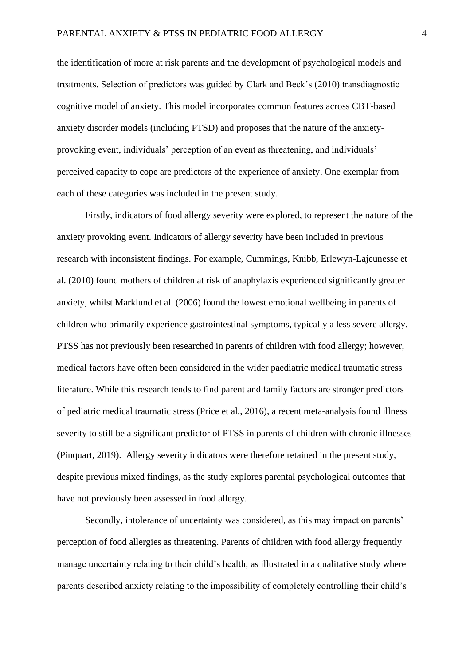the identification of more at risk parents and the development of psychological models and treatments. Selection of predictors was guided by Clark and Beck's (2010) transdiagnostic cognitive model of anxiety. This model incorporates common features across CBT-based anxiety disorder models (including PTSD) and proposes that the nature of the anxietyprovoking event, individuals' perception of an event as threatening, and individuals' perceived capacity to cope are predictors of the experience of anxiety. One exemplar from each of these categories was included in the present study.

Firstly, indicators of food allergy severity were explored, to represent the nature of the anxiety provoking event. Indicators of allergy severity have been included in previous research with inconsistent findings. For example, Cummings, Knibb, Erlewyn-Lajeunesse et al. (2010) found mothers of children at risk of anaphylaxis experienced significantly greater anxiety, whilst Marklund et al. (2006) found the lowest emotional wellbeing in parents of children who primarily experience gastrointestinal symptoms, typically a less severe allergy. PTSS has not previously been researched in parents of children with food allergy; however, medical factors have often been considered in the wider paediatric medical traumatic stress literature. While this research tends to find parent and family factors are stronger predictors of pediatric medical traumatic stress (Price et al., 2016), a recent meta-analysis found illness severity to still be a significant predictor of PTSS in parents of children with chronic illnesses (Pinquart, 2019). Allergy severity indicators were therefore retained in the present study, despite previous mixed findings, as the study explores parental psychological outcomes that have not previously been assessed in food allergy.

Secondly, intolerance of uncertainty was considered, as this may impact on parents' perception of food allergies as threatening. Parents of children with food allergy frequently manage uncertainty relating to their child's health, as illustrated in a qualitative study where parents described anxiety relating to the impossibility of completely controlling their child's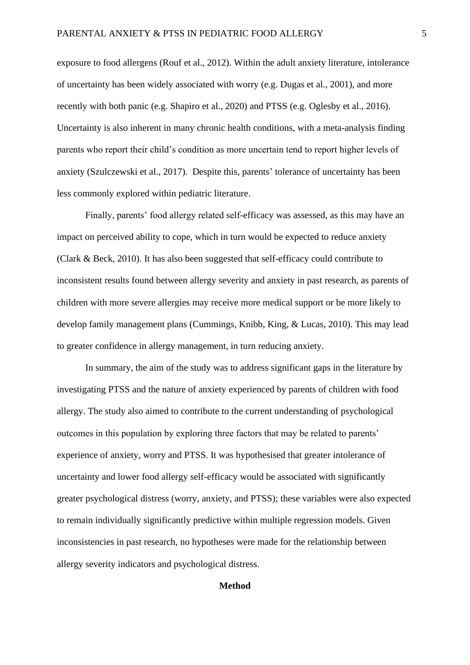exposure to food allergens (Rouf et al., 2012). Within the adult anxiety literature, intolerance of uncertainty has been widely associated with worry (e.g. Dugas et al., 2001), and more recently with both panic (e.g. Shapiro et al., 2020) and PTSS (e.g. Oglesby et al., 2016). Uncertainty is also inherent in many chronic health conditions, with a meta-analysis finding parents who report their child's condition as more uncertain tend to report higher levels of anxiety (Szulczewski et al., 2017). Despite this, parents' tolerance of uncertainty has been less commonly explored within pediatric literature.

Finally, parents' food allergy related self-efficacy was assessed, as this may have an impact on perceived ability to cope, which in turn would be expected to reduce anxiety (Clark & Beck, 2010). It has also been suggested that self-efficacy could contribute to inconsistent results found between allergy severity and anxiety in past research, as parents of children with more severe allergies may receive more medical support or be more likely to develop family management plans (Cummings, Knibb, King, & Lucas, 2010). This may lead to greater confidence in allergy management, in turn reducing anxiety.

In summary, the aim of the study was to address significant gaps in the literature by investigating PTSS and the nature of anxiety experienced by parents of children with food allergy. The study also aimed to contribute to the current understanding of psychological outcomes in this population by exploring three factors that may be related to parents' experience of anxiety, worry and PTSS. It was hypothesised that greater intolerance of uncertainty and lower food allergy self-efficacy would be associated with significantly greater psychological distress (worry, anxiety, and PTSS); these variables were also expected to remain individually significantly predictive within multiple regression models. Given inconsistencies in past research, no hypotheses were made for the relationship between allergy severity indicators and psychological distress.

#### **Method**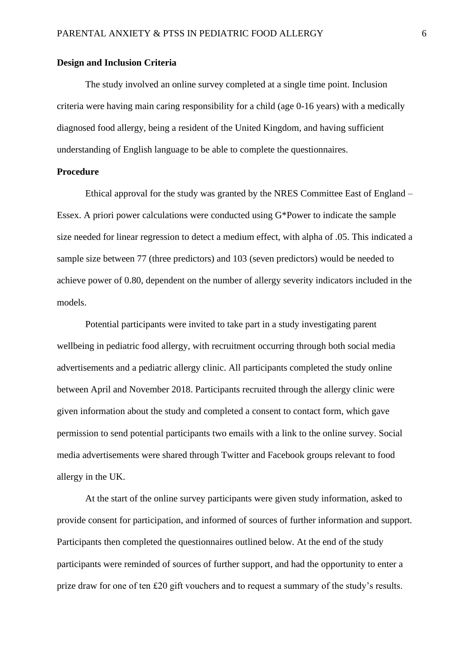#### **Design and Inclusion Criteria**

The study involved an online survey completed at a single time point. Inclusion criteria were having main caring responsibility for a child (age 0-16 years) with a medically diagnosed food allergy, being a resident of the United Kingdom, and having sufficient understanding of English language to be able to complete the questionnaires.

## **Procedure**

Ethical approval for the study was granted by the NRES Committee East of England – Essex. A priori power calculations were conducted using  $G^*$ Power to indicate the sample size needed for linear regression to detect a medium effect, with alpha of .05. This indicated a sample size between 77 (three predictors) and 103 (seven predictors) would be needed to achieve power of 0.80, dependent on the number of allergy severity indicators included in the models.

Potential participants were invited to take part in a study investigating parent wellbeing in pediatric food allergy, with recruitment occurring through both social media advertisements and a pediatric allergy clinic. All participants completed the study online between April and November 2018. Participants recruited through the allergy clinic were given information about the study and completed a consent to contact form, which gave permission to send potential participants two emails with a link to the online survey. Social media advertisements were shared through Twitter and Facebook groups relevant to food allergy in the UK.

At the start of the online survey participants were given study information, asked to provide consent for participation, and informed of sources of further information and support. Participants then completed the questionnaires outlined below. At the end of the study participants were reminded of sources of further support, and had the opportunity to enter a prize draw for one of ten £20 gift vouchers and to request a summary of the study's results.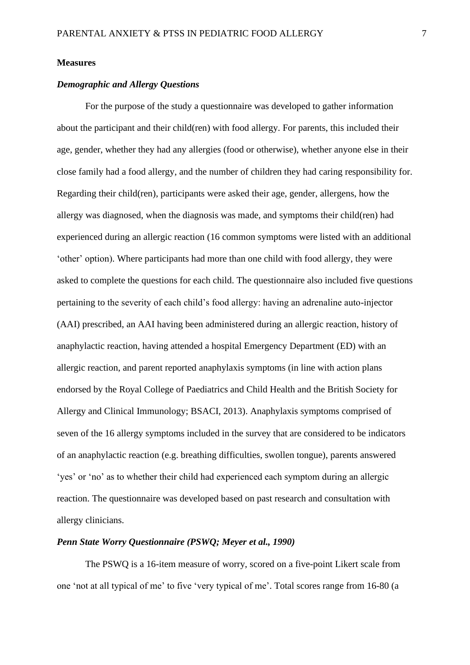#### **Measures**

#### *Demographic and Allergy Questions*

For the purpose of the study a questionnaire was developed to gather information about the participant and their child(ren) with food allergy. For parents, this included their age, gender, whether they had any allergies (food or otherwise), whether anyone else in their close family had a food allergy, and the number of children they had caring responsibility for. Regarding their child(ren), participants were asked their age, gender, allergens, how the allergy was diagnosed, when the diagnosis was made, and symptoms their child(ren) had experienced during an allergic reaction (16 common symptoms were listed with an additional 'other' option). Where participants had more than one child with food allergy, they were asked to complete the questions for each child. The questionnaire also included five questions pertaining to the severity of each child's food allergy: having an adrenaline auto-injector (AAI) prescribed, an AAI having been administered during an allergic reaction, history of anaphylactic reaction, having attended a hospital Emergency Department (ED) with an allergic reaction, and parent reported anaphylaxis symptoms (in line with action plans endorsed by the Royal College of Paediatrics and Child Health and the British Society for Allergy and Clinical Immunology; BSACI, 2013). Anaphylaxis symptoms comprised of seven of the 16 allergy symptoms included in the survey that are considered to be indicators of an anaphylactic reaction (e.g. breathing difficulties, swollen tongue), parents answered 'yes' or 'no' as to whether their child had experienced each symptom during an allergic reaction. The questionnaire was developed based on past research and consultation with allergy clinicians.

#### *Penn State Worry Questionnaire (PSWQ; Meyer et al., 1990)*

The PSWQ is a 16-item measure of worry, scored on a five-point Likert scale from one 'not at all typical of me' to five 'very typical of me'. Total scores range from 16-80 (a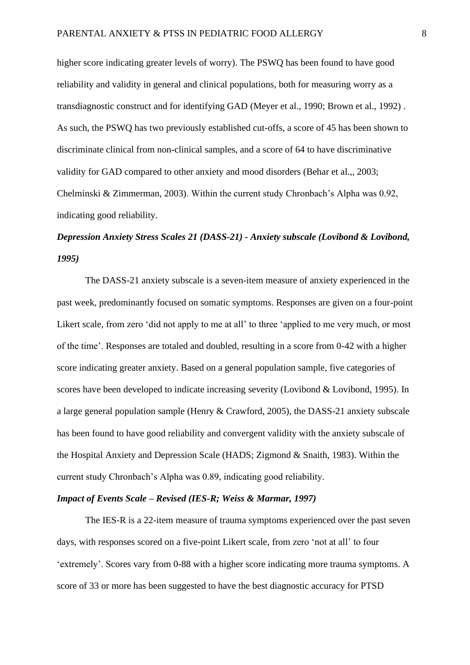higher score indicating greater levels of worry). The PSWQ has been found to have good reliability and validity in general and clinical populations, both for measuring worry as a transdiagnostic construct and for identifying GAD (Meyer et al., 1990; Brown et al., 1992) . As such, the PSWQ has two previously established cut-offs, a score of 45 has been shown to discriminate clinical from non-clinical samples, and a score of 64 to have discriminative validity for GAD compared to other anxiety and mood disorders (Behar et al.,, 2003; Chelminski & Zimmerman, 2003). Within the current study Chronbach's Alpha was 0.92, indicating good reliability.

# *Depression Anxiety Stress Scales 21 (DASS-21) - Anxiety subscale (Lovibond & Lovibond, 1995)*

The DASS-21 anxiety subscale is a seven-item measure of anxiety experienced in the past week, predominantly focused on somatic symptoms. Responses are given on a four-point Likert scale, from zero 'did not apply to me at all' to three 'applied to me very much, or most of the time'. Responses are totaled and doubled, resulting in a score from 0-42 with a higher score indicating greater anxiety. Based on a general population sample, five categories of scores have been developed to indicate increasing severity (Lovibond & Lovibond, 1995). In a large general population sample (Henry & Crawford, 2005), the DASS-21 anxiety subscale has been found to have good reliability and convergent validity with the anxiety subscale of the Hospital Anxiety and Depression Scale (HADS; Zigmond & Snaith, 1983). Within the current study Chronbach's Alpha was 0.89, indicating good reliability.

#### *Impact of Events Scale – Revised (IES-R; Weiss & Marmar, 1997)*

The IES-R is a 22-item measure of trauma symptoms experienced over the past seven days, with responses scored on a five-point Likert scale, from zero 'not at all' to four 'extremely'. Scores vary from 0-88 with a higher score indicating more trauma symptoms. A score of 33 or more has been suggested to have the best diagnostic accuracy for PTSD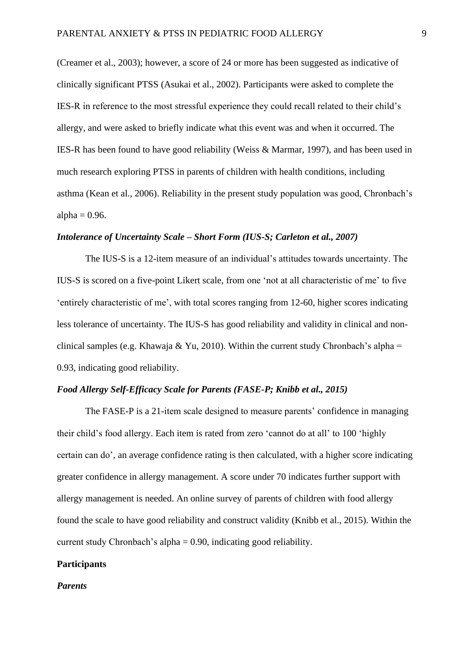(Creamer et al., 2003); however, a score of 24 or more has been suggested as indicative of clinically significant PTSS (Asukai et al., 2002). Participants were asked to complete the IES-R in reference to the most stressful experience they could recall related to their child's allergy, and were asked to briefly indicate what this event was and when it occurred. The IES-R has been found to have good reliability (Weiss & Marmar, 1997), and has been used in much research exploring PTSS in parents of children with health conditions, including asthma (Kean et al., 2006). Reliability in the present study population was good, Chronbach's alpha  $= 0.96$ .

#### *Intolerance of Uncertainty Scale – Short Form (IUS-S; Carleton et al., 2007)*

The IUS-S is a 12-item measure of an individual's attitudes towards uncertainty. The IUS-S is scored on a five-point Likert scale, from one 'not at all characteristic of me' to five 'entirely characteristic of me', with total scores ranging from 12-60, higher scores indicating less tolerance of uncertainty. The IUS-S has good reliability and validity in clinical and nonclinical samples (e.g. Khawaja & Yu, 2010). Within the current study Chronbach's alpha = 0.93, indicating good reliability.

#### *Food Allergy Self-Efficacy Scale for Parents (FASE-P; Knibb et al., 2015)*

The FASE-P is a 21-item scale designed to measure parents' confidence in managing their child's food allergy. Each item is rated from zero 'cannot do at all' to 100 'highly certain can do', an average confidence rating is then calculated, with a higher score indicating greater confidence in allergy management. A score under 70 indicates further support with allergy management is needed. An online survey of parents of children with food allergy found the scale to have good reliability and construct validity (Knibb et al., 2015). Within the current study Chronbach's alpha = 0.90, indicating good reliability.

#### **Participants**

#### *Parents*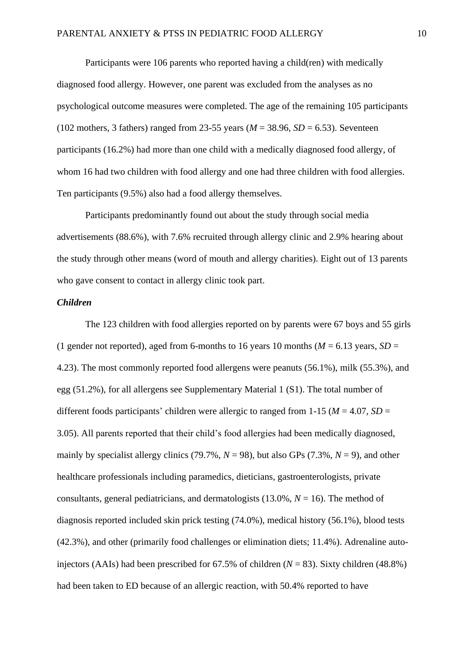Participants were 106 parents who reported having a child(ren) with medically diagnosed food allergy. However, one parent was excluded from the analyses as no psychological outcome measures were completed. The age of the remaining 105 participants (102 mothers, 3 fathers) ranged from 23-55 years ( $M = 38.96$ ,  $SD = 6.53$ ). Seventeen participants (16.2%) had more than one child with a medically diagnosed food allergy, of whom 16 had two children with food allergy and one had three children with food allergies. Ten participants (9.5%) also had a food allergy themselves.

Participants predominantly found out about the study through social media advertisements (88.6%), with 7.6% recruited through allergy clinic and 2.9% hearing about the study through other means (word of mouth and allergy charities). Eight out of 13 parents who gave consent to contact in allergy clinic took part.

#### *Children*

The 123 children with food allergies reported on by parents were 67 boys and 55 girls (1 gender not reported), aged from 6-months to 16 years 10 months ( $M = 6.13$  years,  $SD =$ 4.23). The most commonly reported food allergens were peanuts (56.1%), milk (55.3%), and egg (51.2%), for all allergens see Supplementary Material 1 (S1). The total number of different foods participants' children were allergic to ranged from 1-15 ( $M = 4.07$ ,  $SD =$ 3.05). All parents reported that their child's food allergies had been medically diagnosed, mainly by specialist allergy clinics (79.7%,  $N = 98$ ), but also GPs (7.3%,  $N = 9$ ), and other healthcare professionals including paramedics, dieticians, gastroenterologists, private consultants, general pediatricians, and dermatologists  $(13.0\%$ ,  $N = 16)$ . The method of diagnosis reported included skin prick testing (74.0%), medical history (56.1%), blood tests (42.3%), and other (primarily food challenges or elimination diets; 11.4%). Adrenaline autoinjectors (AAIs) had been prescribed for  $67.5\%$  of children ( $N = 83$ ). Sixty children (48.8%) had been taken to ED because of an allergic reaction, with 50.4% reported to have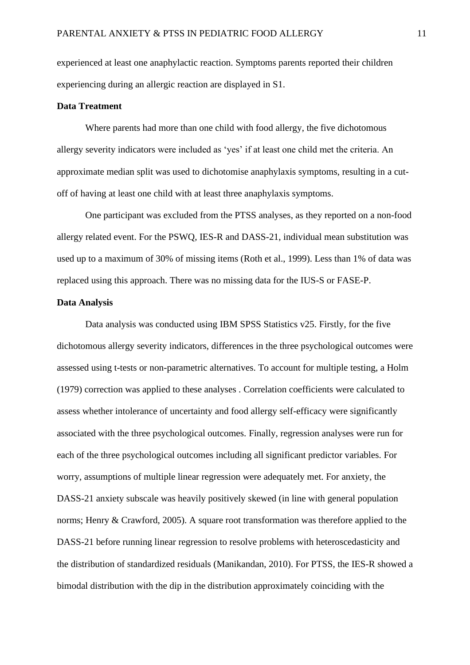experienced at least one anaphylactic reaction. Symptoms parents reported their children experiencing during an allergic reaction are displayed in S1.

#### **Data Treatment**

Where parents had more than one child with food allergy, the five dichotomous allergy severity indicators were included as 'yes' if at least one child met the criteria. An approximate median split was used to dichotomise anaphylaxis symptoms, resulting in a cutoff of having at least one child with at least three anaphylaxis symptoms.

One participant was excluded from the PTSS analyses, as they reported on a non-food allergy related event. For the PSWQ, IES-R and DASS-21, individual mean substitution was used up to a maximum of 30% of missing items (Roth et al., 1999). Less than 1% of data was replaced using this approach. There was no missing data for the IUS-S or FASE-P.

#### **Data Analysis**

Data analysis was conducted using IBM SPSS Statistics v25. Firstly, for the five dichotomous allergy severity indicators, differences in the three psychological outcomes were assessed using t-tests or non-parametric alternatives. To account for multiple testing, a Holm (1979) correction was applied to these analyses . Correlation coefficients were calculated to assess whether intolerance of uncertainty and food allergy self-efficacy were significantly associated with the three psychological outcomes. Finally, regression analyses were run for each of the three psychological outcomes including all significant predictor variables. For worry, assumptions of multiple linear regression were adequately met. For anxiety, the DASS-21 anxiety subscale was heavily positively skewed (in line with general population norms; Henry & Crawford, 2005). A square root transformation was therefore applied to the DASS-21 before running linear regression to resolve problems with heteroscedasticity and the distribution of standardized residuals (Manikandan, 2010). For PTSS, the IES-R showed a bimodal distribution with the dip in the distribution approximately coinciding with the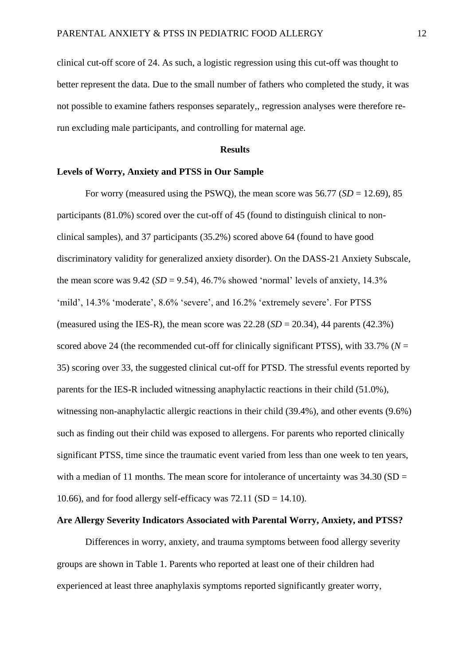clinical cut-off score of 24. As such, a logistic regression using this cut-off was thought to better represent the data. Due to the small number of fathers who completed the study, it was not possible to examine fathers responses separately,, regression analyses were therefore rerun excluding male participants, and controlling for maternal age.

#### **Results**

#### **Levels of Worry, Anxiety and PTSS in Our Sample**

For worry (measured using the PSWQ), the mean score was  $56.77$  (*SD* = 12.69), 85 participants (81.0%) scored over the cut-off of 45 (found to distinguish clinical to nonclinical samples), and 37 participants (35.2%) scored above 64 (found to have good discriminatory validity for generalized anxiety disorder). On the DASS-21 Anxiety Subscale, the mean score was  $9.42$  (*SD* = 9.54), 46.7% showed 'normal' levels of anxiety, 14.3% 'mild', 14.3% 'moderate', 8.6% 'severe', and 16.2% 'extremely severe'. For PTSS (measured using the IES-R), the mean score was  $22.28$  (*SD* =  $20.34$ ), 44 parents (42.3%) scored above 24 (the recommended cut-off for clinically significant PTSS), with  $33.7\%$  ( $N =$ 35) scoring over 33, the suggested clinical cut-off for PTSD. The stressful events reported by parents for the IES-R included witnessing anaphylactic reactions in their child (51.0%), witnessing non-anaphylactic allergic reactions in their child (39.4%), and other events (9.6%) such as finding out their child was exposed to allergens. For parents who reported clinically significant PTSS, time since the traumatic event varied from less than one week to ten years, with a median of 11 months. The mean score for intolerance of uncertainty was  $34.30$  (SD = 10.66), and for food allergy self-efficacy was  $72.11$  (SD = 14.10).

#### **Are Allergy Severity Indicators Associated with Parental Worry, Anxiety, and PTSS?**

Differences in worry, anxiety, and trauma symptoms between food allergy severity groups are shown in Table 1. Parents who reported at least one of their children had experienced at least three anaphylaxis symptoms reported significantly greater worry,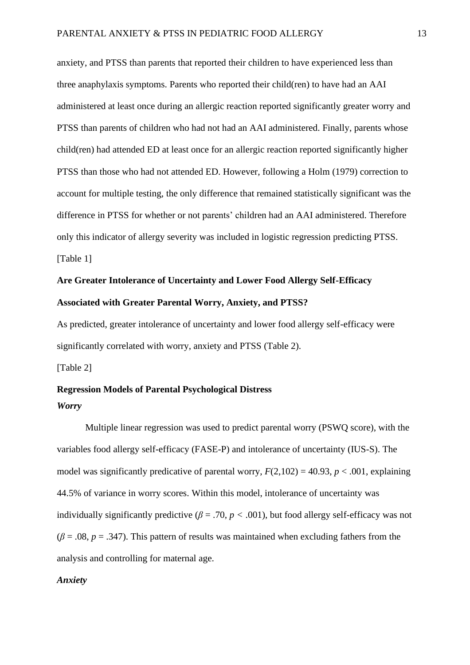anxiety, and PTSS than parents that reported their children to have experienced less than three anaphylaxis symptoms. Parents who reported their child(ren) to have had an AAI administered at least once during an allergic reaction reported significantly greater worry and PTSS than parents of children who had not had an AAI administered. Finally, parents whose child(ren) had attended ED at least once for an allergic reaction reported significantly higher PTSS than those who had not attended ED. However, following a Holm (1979) correction to account for multiple testing, the only difference that remained statistically significant was the difference in PTSS for whether or not parents' children had an AAI administered. Therefore only this indicator of allergy severity was included in logistic regression predicting PTSS. [Table 1]

# **Are Greater Intolerance of Uncertainty and Lower Food Allergy Self-Efficacy Associated with Greater Parental Worry, Anxiety, and PTSS?**

As predicted, greater intolerance of uncertainty and lower food allergy self-efficacy were significantly correlated with worry, anxiety and PTSS (Table 2).

[Table 2]

## **Regression Models of Parental Psychological Distress** *Worry*

Multiple linear regression was used to predict parental worry (PSWQ score), with the variables food allergy self-efficacy (FASE-P) and intolerance of uncertainty (IUS-S). The model was significantly predicative of parental worry,  $F(2,102) = 40.93$ ,  $p < .001$ , explaining 44.5% of variance in worry scores. Within this model, intolerance of uncertainty was individually significantly predictive ( $\beta$  = .70,  $p$  < .001), but food allergy self-efficacy was not  $(\beta = .08, p = .347)$ . This pattern of results was maintained when excluding fathers from the analysis and controlling for maternal age.

#### *Anxiety*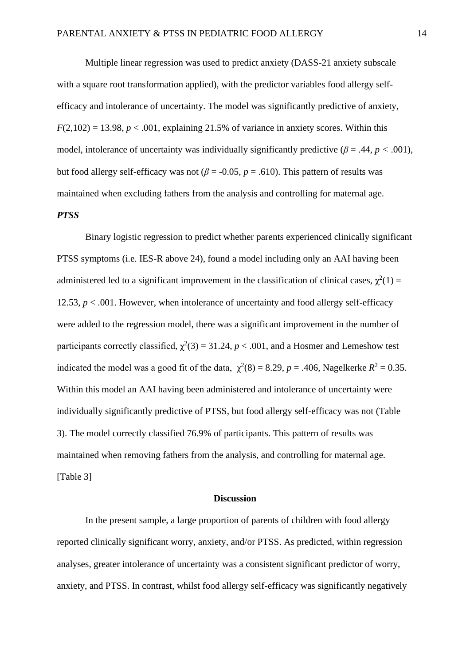Multiple linear regression was used to predict anxiety (DASS-21 anxiety subscale with a square root transformation applied), with the predictor variables food allergy selfefficacy and intolerance of uncertainty. The model was significantly predictive of anxiety,  $F(2,102) = 13.98$ ,  $p < .001$ , explaining 21.5% of variance in anxiety scores. Within this model, intolerance of uncertainty was individually significantly predictive ( $\beta$  = .44,  $p$  < .001), but food allergy self-efficacy was not ( $\beta$  = -0.05,  $p$  = .610). This pattern of results was maintained when excluding fathers from the analysis and controlling for maternal age.

#### *PTSS*

Binary logistic regression to predict whether parents experienced clinically significant PTSS symptoms (i.e. IES-R above 24), found a model including only an AAI having been administered led to a significant improvement in the classification of clinical cases,  $\chi^2(1)$  = 12.53,  $p < .001$ . However, when intolerance of uncertainty and food allergy self-efficacy were added to the regression model, there was a significant improvement in the number of participants correctly classified,  $\chi^2(3) = 31.24$ ,  $p < .001$ , and a Hosmer and Lemeshow test indicated the model was a good fit of the data,  $\chi^2(8) = 8.29$ ,  $p = .406$ , Nagelkerke  $R^2 = 0.35$ . Within this model an AAI having been administered and intolerance of uncertainty were individually significantly predictive of PTSS, but food allergy self-efficacy was not (Table 3). The model correctly classified 76.9% of participants. This pattern of results was maintained when removing fathers from the analysis, and controlling for maternal age. [Table 3]

#### **Discussion**

In the present sample, a large proportion of parents of children with food allergy reported clinically significant worry, anxiety, and/or PTSS. As predicted, within regression analyses, greater intolerance of uncertainty was a consistent significant predictor of worry, anxiety, and PTSS. In contrast, whilst food allergy self-efficacy was significantly negatively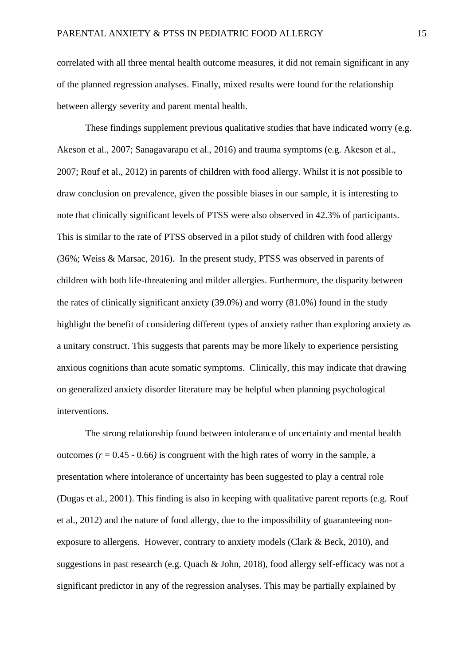correlated with all three mental health outcome measures, it did not remain significant in any of the planned regression analyses. Finally, mixed results were found for the relationship between allergy severity and parent mental health.

These findings supplement previous qualitative studies that have indicated worry (e.g. Akeson et al., 2007; Sanagavarapu et al., 2016) and trauma symptoms (e.g. Akeson et al., 2007; Rouf et al., 2012) in parents of children with food allergy. Whilst it is not possible to draw conclusion on prevalence, given the possible biases in our sample, it is interesting to note that clinically significant levels of PTSS were also observed in 42.3% of participants. This is similar to the rate of PTSS observed in a pilot study of children with food allergy (36%; Weiss & Marsac, 2016). In the present study, PTSS was observed in parents of children with both life-threatening and milder allergies. Furthermore, the disparity between the rates of clinically significant anxiety (39.0%) and worry (81.0%) found in the study highlight the benefit of considering different types of anxiety rather than exploring anxiety as a unitary construct. This suggests that parents may be more likely to experience persisting anxious cognitions than acute somatic symptoms. Clinically, this may indicate that drawing on generalized anxiety disorder literature may be helpful when planning psychological interventions.

The strong relationship found between intolerance of uncertainty and mental health outcomes  $(r = 0.45 - 0.66)$  is congruent with the high rates of worry in the sample, a presentation where intolerance of uncertainty has been suggested to play a central role (Dugas et al., 2001). This finding is also in keeping with qualitative parent reports (e.g. Rouf et al., 2012) and the nature of food allergy, due to the impossibility of guaranteeing nonexposure to allergens. However, contrary to anxiety models (Clark & Beck, 2010), and suggestions in past research (e.g. Quach & John, 2018), food allergy self-efficacy was not a significant predictor in any of the regression analyses. This may be partially explained by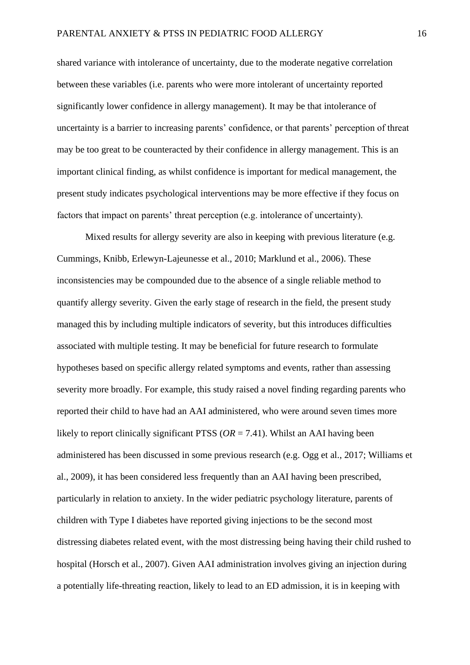shared variance with intolerance of uncertainty, due to the moderate negative correlation between these variables (i.e. parents who were more intolerant of uncertainty reported significantly lower confidence in allergy management). It may be that intolerance of uncertainty is a barrier to increasing parents' confidence, or that parents' perception of threat may be too great to be counteracted by their confidence in allergy management. This is an important clinical finding, as whilst confidence is important for medical management, the present study indicates psychological interventions may be more effective if they focus on factors that impact on parents' threat perception (e.g. intolerance of uncertainty).

Mixed results for allergy severity are also in keeping with previous literature (e.g. Cummings, Knibb, Erlewyn-Lajeunesse et al., 2010; Marklund et al., 2006). These inconsistencies may be compounded due to the absence of a single reliable method to quantify allergy severity. Given the early stage of research in the field, the present study managed this by including multiple indicators of severity, but this introduces difficulties associated with multiple testing. It may be beneficial for future research to formulate hypotheses based on specific allergy related symptoms and events, rather than assessing severity more broadly. For example, this study raised a novel finding regarding parents who reported their child to have had an AAI administered, who were around seven times more likely to report clinically significant PTSS ( $OR = 7.41$ ). Whilst an AAI having been administered has been discussed in some previous research (e.g. Ogg et al., 2017; Williams et al., 2009), it has been considered less frequently than an AAI having been prescribed, particularly in relation to anxiety. In the wider pediatric psychology literature, parents of children with Type I diabetes have reported giving injections to be the second most distressing diabetes related event, with the most distressing being having their child rushed to hospital (Horsch et al., 2007). Given AAI administration involves giving an injection during a potentially life-threating reaction, likely to lead to an ED admission, it is in keeping with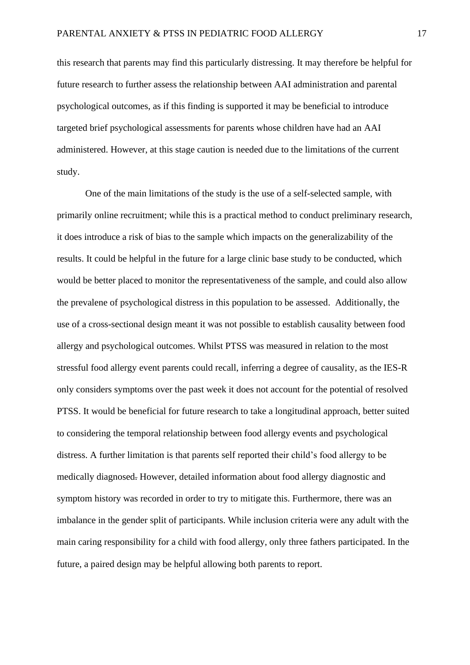this research that parents may find this particularly distressing. It may therefore be helpful for future research to further assess the relationship between AAI administration and parental psychological outcomes, as if this finding is supported it may be beneficial to introduce targeted brief psychological assessments for parents whose children have had an AAI administered. However, at this stage caution is needed due to the limitations of the current study.

One of the main limitations of the study is the use of a self-selected sample, with primarily online recruitment; while this is a practical method to conduct preliminary research, it does introduce a risk of bias to the sample which impacts on the generalizability of the results. It could be helpful in the future for a large clinic base study to be conducted, which would be better placed to monitor the representativeness of the sample, and could also allow the prevalene of psychological distress in this population to be assessed. Additionally, the use of a cross-sectional design meant it was not possible to establish causality between food allergy and psychological outcomes. Whilst PTSS was measured in relation to the most stressful food allergy event parents could recall, inferring a degree of causality, as the IES-R only considers symptoms over the past week it does not account for the potential of resolved PTSS. It would be beneficial for future research to take a longitudinal approach, better suited to considering the temporal relationship between food allergy events and psychological distress. A further limitation is that parents self reported their child's food allergy to be medically diagnosed. However, detailed information about food allergy diagnostic and symptom history was recorded in order to try to mitigate this. Furthermore, there was an imbalance in the gender split of participants. While inclusion criteria were any adult with the main caring responsibility for a child with food allergy, only three fathers participated. In the future, a paired design may be helpful allowing both parents to report.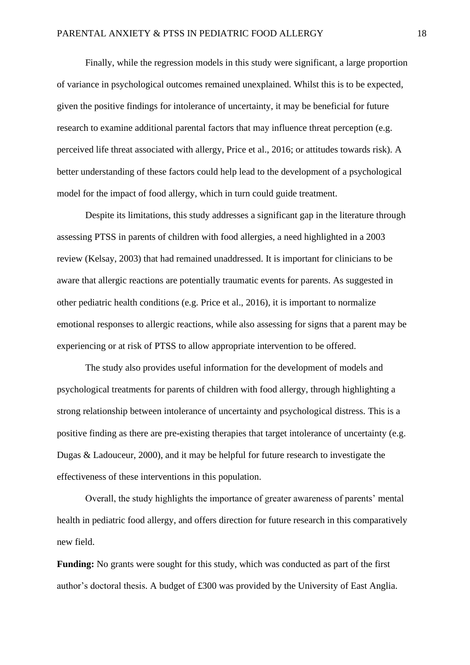Finally, while the regression models in this study were significant, a large proportion of variance in psychological outcomes remained unexplained. Whilst this is to be expected, given the positive findings for intolerance of uncertainty, it may be beneficial for future research to examine additional parental factors that may influence threat perception (e.g. perceived life threat associated with allergy, Price et al., 2016; or attitudes towards risk). A better understanding of these factors could help lead to the development of a psychological model for the impact of food allergy, which in turn could guide treatment.

Despite its limitations, this study addresses a significant gap in the literature through assessing PTSS in parents of children with food allergies, a need highlighted in a 2003 review (Kelsay, 2003) that had remained unaddressed. It is important for clinicians to be aware that allergic reactions are potentially traumatic events for parents. As suggested in other pediatric health conditions (e.g. Price et al., 2016), it is important to normalize emotional responses to allergic reactions, while also assessing for signs that a parent may be experiencing or at risk of PTSS to allow appropriate intervention to be offered.

The study also provides useful information for the development of models and psychological treatments for parents of children with food allergy, through highlighting a strong relationship between intolerance of uncertainty and psychological distress. This is a positive finding as there are pre-existing therapies that target intolerance of uncertainty (e.g. Dugas & Ladouceur, 2000), and it may be helpful for future research to investigate the effectiveness of these interventions in this population.

Overall, the study highlights the importance of greater awareness of parents' mental health in pediatric food allergy, and offers direction for future research in this comparatively new field.

**Funding:** No grants were sought for this study, which was conducted as part of the first author's doctoral thesis. A budget of £300 was provided by the University of East Anglia.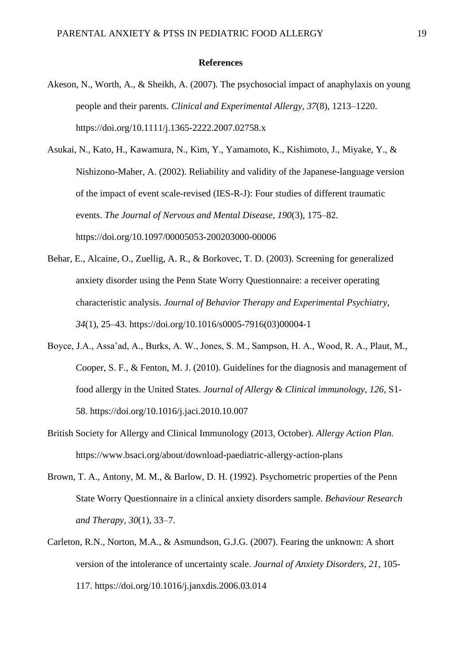#### **References**

- Akeson, N., Worth, A., & Sheikh, A. (2007). The psychosocial impact of anaphylaxis on young people and their parents. *Clinical and Experimental Allergy*, *37*(8), 1213–1220. https://doi.org/10.1111/j.1365-2222.2007.02758.x
- Asukai, N., Kato, H., Kawamura, N., Kim, Y., Yamamoto, K., Kishimoto, J., Miyake, Y., & Nishizono-Maher, A. (2002). Reliability and validity of the Japanese-language version of the impact of event scale-revised (IES-R-J): Four studies of different traumatic events. *The Journal of Nervous and Mental Disease*, *190*(3), 175–82. https://doi.org/10.1097/00005053-200203000-00006
- Behar, E., Alcaine, O., Zuellig, A. R., & Borkovec, T. D. (2003). Screening for generalized anxiety disorder using the Penn State Worry Questionnaire: a receiver operating characteristic analysis. *Journal of Behavior Therapy and Experimental Psychiatry*, *34*(1), 25–43. https://doi.org/10.1016/s0005-7916(03)00004-1
- Boyce, J.A., Assa'ad, A., Burks, A. W., Jones, S. M., Sampson, H. A., Wood, R. A., Plaut, M., Cooper, S. F., & Fenton, M. J. (2010). Guidelines for the diagnosis and management of food allergy in the United States. *Journal of Allergy & Clinical immunology, 126,* S1- 58. https://doi.org/10.1016/j.jaci.2010.10.007
- British Society for Allergy and Clinical Immunology (2013, October). *Allergy Action Plan.*  https://www.bsaci.org/about/download-paediatric-allergy-action-plans
- Brown, T. A., Antony, M. M., & Barlow, D. H. (1992). Psychometric properties of the Penn State Worry Questionnaire in a clinical anxiety disorders sample. *Behaviour Research and Therapy*, *30*(1), 33–7.
- Carleton, R.N., Norton, M.A., & Asmundson, G.J.G. (2007). Fearing the unknown: A short version of the intolerance of uncertainty scale. *Journal of Anxiety Disorders, 21,* 105- 117. https://doi.org/10.1016/j.janxdis.2006.03.014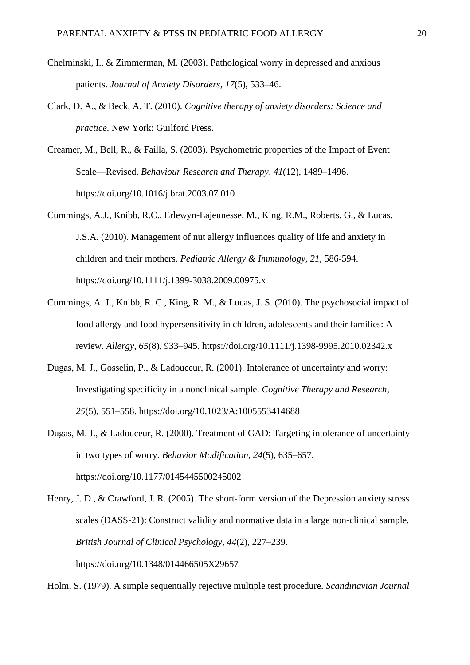- Chelminski, I., & Zimmerman, M. (2003). Pathological worry in depressed and anxious patients. *Journal of Anxiety Disorders*, *17*(5), 533–46.
- Clark, D. A., & Beck, A. T. (2010). *Cognitive therapy of anxiety disorders: Science and practice*. New York: Guilford Press.
- Creamer, M., Bell, R., & Failla, S. (2003). Psychometric properties of the Impact of Event Scale—Revised. *Behaviour Research and Therapy*, *41*(12), 1489–1496. https://doi.org/10.1016/j.brat.2003.07.010
- Cummings, A.J., Knibb, R.C., Erlewyn-Lajeunesse, M., King, R.M., Roberts, G., & Lucas, J.S.A. (2010). Management of nut allergy influences quality of life and anxiety in children and their mothers. *Pediatric Allergy & Immunology, 21,* 586-594. https://doi.org/10.1111/j.1399-3038.2009.00975.x
- Cummings, A. J., Knibb, R. C., King, R. M., & Lucas, J. S. (2010). The psychosocial impact of food allergy and food hypersensitivity in children, adolescents and their families: A review. *Allergy*, *65*(8), 933–945. https://doi.org/10.1111/j.1398-9995.2010.02342.x
- Dugas, M. J., Gosselin, P., & Ladouceur, R. (2001). Intolerance of uncertainty and worry: Investigating specificity in a nonclinical sample. *Cognitive Therapy and Research*, *25*(5), 551–558. https://doi.org/10.1023/A:1005553414688
- Dugas, M. J., & Ladouceur, R. (2000). Treatment of GAD: Targeting intolerance of uncertainty in two types of worry. *Behavior Modification*, *24*(5), 635–657. https://doi.org/10.1177/0145445500245002
- Henry, J. D., & Crawford, J. R. (2005). The short-form version of the Depression anxiety stress scales (DASS-21): Construct validity and normative data in a large non-clinical sample. *British Journal of Clinical Psychology*, *44*(2), 227–239. https://doi.org/10.1348/014466505X29657

Holm, S. (1979). A simple sequentially rejective multiple test procedure. *Scandinavian Journal*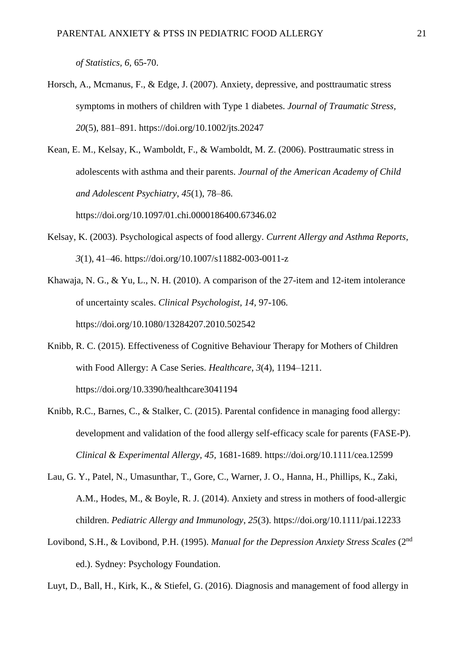*of Statistics, 6,* 65-70.

- Horsch, A., Mcmanus, F., & Edge, J. (2007). Anxiety, depressive, and posttraumatic stress symptoms in mothers of children with Type 1 diabetes. *Journal of Traumatic Stress, 20*(5), 881–891. https://doi.org/10.1002/jts.20247
- Kean, E. M., Kelsay, K., Wamboldt, F., & Wamboldt, M. Z. (2006). Posttraumatic stress in adolescents with asthma and their parents. *Journal of the American Academy of Child and Adolescent Psychiatry*, *45*(1), 78–86. https://doi.org/10.1097/01.chi.0000186400.67346.02
- Kelsay, K. (2003). Psychological aspects of food allergy. *Current Allergy and Asthma Reports*, *3*(1), 41–46. https://doi.org/10.1007/s11882-003-0011-z
- Khawaja, N. G., & Yu, L., N. H. (2010). A comparison of the 27-item and 12-item intolerance of uncertainty scales. *Clinical Psychologist, 14,* 97-106. https://doi.org/10.1080/13284207.2010.502542
- Knibb, R. C. (2015). Effectiveness of Cognitive Behaviour Therapy for Mothers of Children with Food Allergy: A Case Series. *Healthcare*, *3*(4), 1194–1211. https://doi.org/10.3390/healthcare3041194
- Knibb, R.C., Barnes, C., & Stalker, C. (2015). Parental confidence in managing food allergy: development and validation of the food allergy self-efficacy scale for parents (FASE-P). *Clinical & Experimental Allergy, 45,* 1681-1689. https://doi.org/10.1111/cea.12599
- Lau, G. Y., Patel, N., Umasunthar, T., Gore, C., Warner, J. O., Hanna, H., Phillips, K., Zaki, A.M., Hodes, M., & Boyle, R. J. (2014). Anxiety and stress in mothers of food-allergic children. *Pediatric Allergy and Immunology*, *25*(3). https://doi.org/10.1111/pai.12233
- Lovibond, S.H., & Lovibond, P.H. (1995). *Manual for the Depression Anxiety Stress Scales* (2nd ed.). Sydney: Psychology Foundation.

Luyt, D., Ball, H., Kirk, K., & Stiefel, G. (2016). Diagnosis and management of food allergy in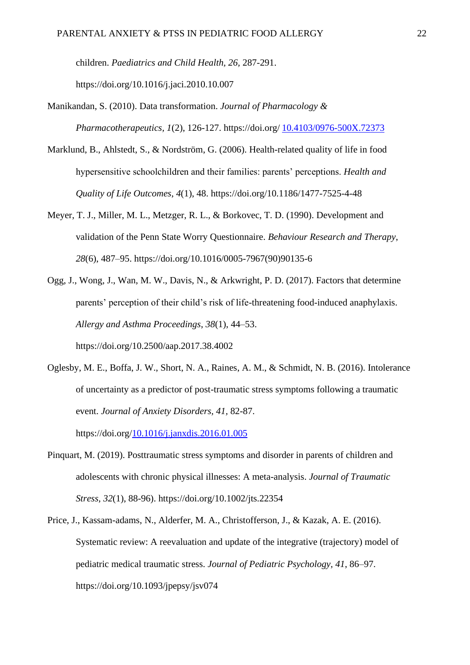children. *Paediatrics and Child Health, 26,* 287-291. https://doi.org/10.1016/j.jaci.2010.10.007

- Manikandan, S. (2010). Data transformation. *Journal of Pharmacology & Pharmacotherapeutics, 1*(2), 126-127. https://doi.org/ [10.4103/0976-500X.72373](https://dx.doi.org/10.4103%2F0976-500X.72373)
- Marklund, B., Ahlstedt, S., & Nordström, G. (2006). Health-related quality of life in food hypersensitive schoolchildren and their families: parents' perceptions. *Health and Quality of Life Outcomes*, *4*(1), 48. https://doi.org/10.1186/1477-7525-4-48
- Meyer, T. J., Miller, M. L., Metzger, R. L., & Borkovec, T. D. (1990). Development and validation of the Penn State Worry Questionnaire. *Behaviour Research and Therapy*, *28*(6), 487–95. https://doi.org/10.1016/0005-7967(90)90135-6
- Ogg, J., Wong, J., Wan, M. W., Davis, N., & Arkwright, P. D. (2017). Factors that determine parents' perception of their child's risk of life-threatening food-induced anaphylaxis. *Allergy and Asthma Proceedings*, *38*(1), 44–53.

https://doi.org/10.2500/aap.2017.38.4002

Oglesby, M. E., Boffa, J. W., Short, N. A., Raines, A. M., & Schmidt, N. B. (2016). Intolerance of uncertainty as a predictor of post-traumatic stress symptoms following a traumatic event. *Journal of Anxiety Disorders, 41,* 82-87.

https://doi.org[/10.1016/j.janxdis.2016.01.005](https://doi.org/10.1016/j.janxdis.2016.01.005)

- Pinquart, M. (2019). Posttraumatic stress symptoms and disorder in parents of children and adolescents with chronic physical illnesses: A meta-analysis. *Journal of Traumatic Stress, 32*(1), 88-96). https://doi.org/10.1002/jts.22354
- Price, J., Kassam-adams, N., Alderfer, M. A., Christofferson, J., & Kazak, A. E. (2016). Systematic review: A reevaluation and update of the integrative (trajectory) model of pediatric medical traumatic stress. *Journal of Pediatric Psychology, 41*, 86–97. https://doi.org/10.1093/jpepsy/jsv074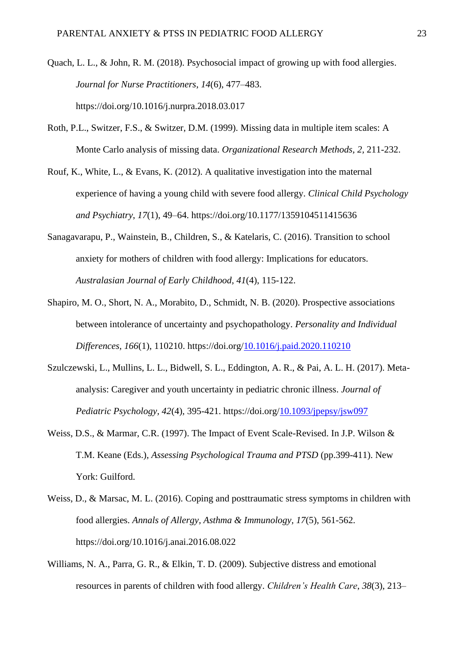- Quach, L. L., & John, R. M. (2018). Psychosocial impact of growing up with food allergies. *Journal for Nurse Practitioners*, *14*(6), 477–483. https://doi.org/10.1016/j.nurpra.2018.03.017
- Roth, P.L., Switzer, F.S., & Switzer, D.M. (1999). Missing data in multiple item scales: A Monte Carlo analysis of missing data. *Organizational Research Methods, 2,* 211-232.
- Rouf, K., White, L., & Evans, K. (2012). A qualitative investigation into the maternal experience of having a young child with severe food allergy. *Clinical Child Psychology and Psychiatry*, *17*(1), 49–64. https://doi.org/10.1177/1359104511415636
- Sanagavarapu, P., Wainstein, B., Children, S., & Katelaris, C. (2016). Transition to school anxiety for mothers of children with food allergy: Implications for educators. *Australasian Journal of Early Childhood, 41*(4), 115-122.
- Shapiro, M. O., Short, N. A., Morabito, D., Schmidt, N. B. (2020). Prospective associations between intolerance of uncertainty and psychopathology. *Personality and Individual Differences, 166*(1), 110210. https://doi.org[/10.1016/j.paid.2020.110210](https://doi.org/10.1016/j.paid.2020.110210)
- Szulczewski, L., Mullins, L. L., Bidwell, S. L., Eddington, A. R., & Pai, A. L. H. (2017). Metaanalysis: Caregiver and youth uncertainty in pediatric chronic illness. *Journal of Pediatric Psychology, 42*(4)*,* 395-421. https://doi.org[/10.1093/jpepsy/jsw097](https://dx.doi.org/10.1093%2Fjpepsy%2Fjsw097)
- Weiss, D.S., & Marmar, C.R. (1997). The Impact of Event Scale-Revised. In J.P. Wilson & T.M. Keane (Eds.), *Assessing Psychological Trauma and PTSD* (pp.399-411). New York: Guilford.
- Weiss, D., & Marsac, M. L. (2016). Coping and posttraumatic stress symptoms in children with food allergies. *Annals of Allergy, Asthma & Immunology, 17*(5), 561-562. https://doi.org/10.1016/j.anai.2016.08.022
- Williams, N. A., Parra, G. R., & Elkin, T. D. (2009). Subjective distress and emotional resources in parents of children with food allergy. *Children's Health Care*, *38*(3), 213–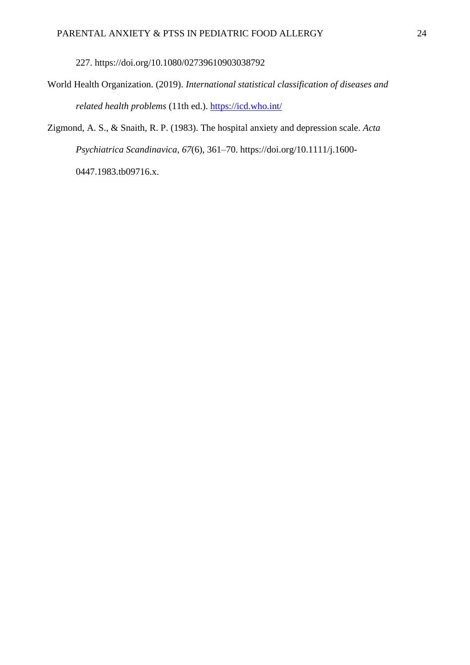227. https://doi.org/10.1080/02739610903038792

World Health Organization. (2019). *International statistical classification of diseases and related health problems* (11th ed.). <https://icd.who.int/>

Zigmond, A. S., & Snaith, R. P. (1983). The hospital anxiety and depression scale. *Acta Psychiatrica Scandinavica*, *67*(6), 361–70. https://doi.org/10.1111/j.1600- 0447.1983.tb09716.x.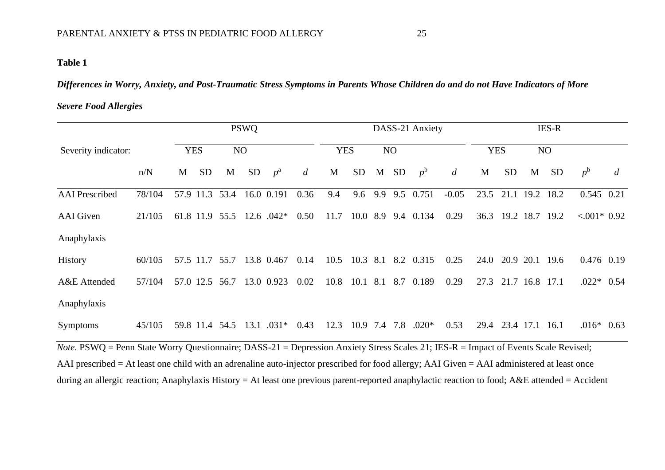## **Table 1**

*Differences in Worry, Anxiety, and Post-Traumatic Stress Symptoms in Parents Whose Children do and do not Have Indicators of More* 

### *Severe Food Allergies*

|                                                                                                                                                   | <b>PSWQ</b> |            |           |                |           | DASS-21 Anxiety |                |            |           |     |           | <b>IES-R</b>            |                |            |                     |      |                |                 |                |
|---------------------------------------------------------------------------------------------------------------------------------------------------|-------------|------------|-----------|----------------|-----------|-----------------|----------------|------------|-----------|-----|-----------|-------------------------|----------------|------------|---------------------|------|----------------|-----------------|----------------|
| Severity indicator:                                                                                                                               |             | <b>YES</b> |           | NO             |           |                 |                | <b>YES</b> |           | NO  |           |                         |                | <b>YES</b> |                     | NO   |                |                 |                |
|                                                                                                                                                   | n/N         | M          | <b>SD</b> | M              | <b>SD</b> | $p^{\rm a}$     | $\overline{d}$ | M          | <b>SD</b> | M   | <b>SD</b> | $p^{\rm b}$             | $\overline{d}$ | M          | <b>SD</b>           | M    | <b>SD</b>      | $p^{\rm b}$     | $\overline{d}$ |
| <b>AAI</b> Prescribed                                                                                                                             | 78/104      |            | 57.9 11.3 | 53.4           |           | 16.0 0.191      | 0.36           | 9.4        | 9.6       | 9.9 | 9.5       | 0.751                   | $-0.05$        | 23.5       | 21.1                | 19.2 | 18.2           | $0.545$ 0.21    |                |
| <b>AAI</b> Given                                                                                                                                  | 21/105      |            |           | 61.8 11.9 55.5 |           | 12.6 $.042*$    | 0.50           | 11.7       |           |     |           | 10.0 8.9 9.4 0.134      | 0.29           | 36.3       |                     |      | 19.2 18.7 19.2 | $< 0.001*$ 0.92 |                |
| Anaphylaxis                                                                                                                                       |             |            |           |                |           |                 |                |            |           |     |           |                         |                |            |                     |      |                |                 |                |
| <b>History</b>                                                                                                                                    | 60/105      |            |           | 57.5 11.7 55.7 |           | 13.8 0.467      | 0.14           | 10.5       |           |     |           | 10.3 8.1 8.2 0.315      | 0.25           | 24.0       |                     |      | 20.9 20.1 19.6 | 0.476 0.19      |                |
| A&E Attended                                                                                                                                      | 57/104      |            |           | 57.0 12.5 56.7 |           | 13.0 0.923      | 0.02           |            |           |     |           | 10.8 10.1 8.1 8.7 0.189 | 0.29           | 27.3       |                     |      | 21.7 16.8 17.1 | $.022*$ 0.54    |                |
| Anaphylaxis                                                                                                                                       |             |            |           |                |           |                 |                |            |           |     |           |                         |                |            |                     |      |                |                 |                |
| Symptoms                                                                                                                                          | 45/105      |            |           | 59.8 11.4 54.5 |           | $13.1 \t .031*$ | 0.43           | 12.3       |           |     |           | $10.9$ 7.4 7.8 $.020*$  | 0.53           |            | 29.4 23.4 17.1 16.1 |      |                | $.016*$ 0.63    |                |
| <i>Note</i> . PSWQ = Penn State Worry Questionnaire; DASS-21 = Depression Anxiety Stress Scales 21; IES-R = Impact of Events Scale Revised;       |             |            |           |                |           |                 |                |            |           |     |           |                         |                |            |                     |      |                |                 |                |
| AAI prescribed = At least one child with an adrenaline auto-injector prescribed for food allergy; AAI Given = AAI administered at least once      |             |            |           |                |           |                 |                |            |           |     |           |                         |                |            |                     |      |                |                 |                |
| during an allergic reaction; Anaphylaxis History = At least one previous parent-reported anaphylactic reaction to food; $A&E$ attended = Accident |             |            |           |                |           |                 |                |            |           |     |           |                         |                |            |                     |      |                |                 |                |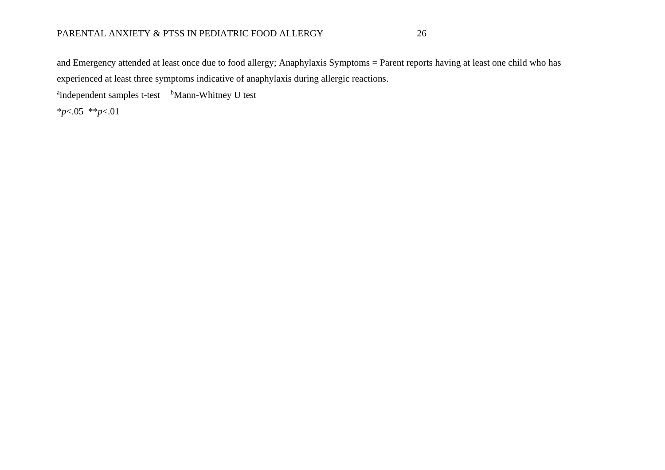### PARENTAL ANXIETY & PTSS IN PEDIATRIC FOOD ALLERGY 26

and Emergency attended at least once due to food allergy; Anaphylaxis Symptoms = Parent reports having at least one child who has experienced at least three symptoms indicative of anaphylaxis during allergic reactions.

<sup>a</sup>independent samples t-test bMann-Whitney U test

\**p*<.05 \*\**p*<.01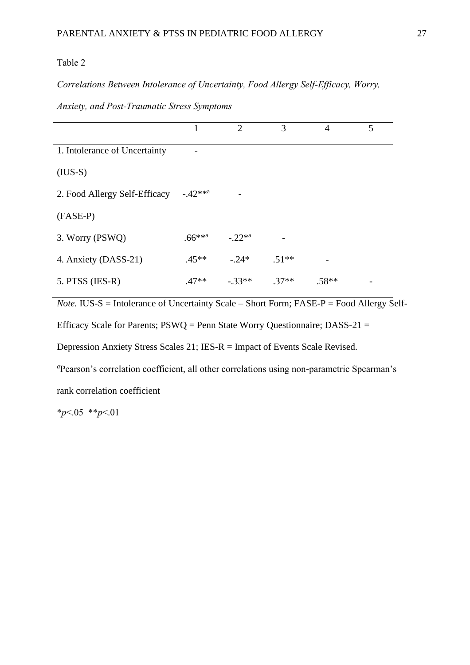#### Table 2

*Correlations Between Intolerance of Uncertainty, Food Allergy Self-Efficacy, Worry,* 

|                               |                   | $\overline{2}$ | 3       | $\overline{4}$ | 5 |
|-------------------------------|-------------------|----------------|---------|----------------|---|
| 1. Intolerance of Uncertainty |                   |                |         |                |   |
| $(IUS-S)$                     |                   |                |         |                |   |
| 2. Food Allergy Self-Efficacy | $-.42***^{\circ}$ |                |         |                |   |
| (FASE-P)                      |                   |                |         |                |   |
| 3. Worry (PSWQ)               | $.66***^{\alpha}$ | $-.22**a$      |         |                |   |
| 4. Anxiety (DASS-21)          | $.45**$           | $-.24*$        | $.51**$ |                |   |
| $5.$ PTSS (IES-R)             | $.47**$           | $-.33**$       | $.37**$ | $.58**$        |   |

*Anxiety, and Post-Traumatic Stress Symptoms*

*Note.* **IUS-S** = Intolerance of Uncertainty Scale – Short Form; FASE-P = Food Allergy Self-Efficacy Scale for Parents;  $PSWQ =$  Penn State Worry Questionnaire; DASS-21 = Depression Anxiety Stress Scales 21; IES-R = Impact of Events Scale Revised. *<sup>a</sup>*Pearson's correlation coefficient, all other correlations using non-parametric Spearman's

rank correlation coefficient

\**p*<.05 \*\**p*<.01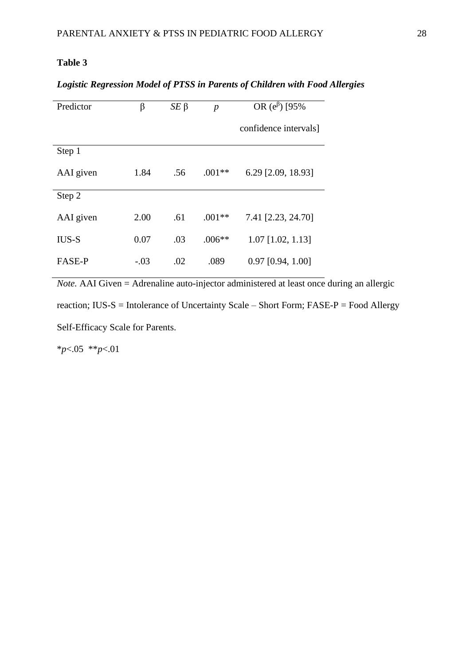## **Table 3**

## *Logistic Regression Model of PTSS in Parents of Children with Food Allergies*

| Predictor     | β      | $SE \beta$ | $\boldsymbol{p}$ | OR $(e^{\beta})$ [95% |  |  |  |
|---------------|--------|------------|------------------|-----------------------|--|--|--|
|               |        |            |                  | confidence intervals] |  |  |  |
| Step 1        |        |            |                  |                       |  |  |  |
| AAI given     | 1.84   | .56        | $.001**$         | 6.29 [2.09, 18.93]    |  |  |  |
| Step 2        |        |            |                  |                       |  |  |  |
| AAI given     | 2.00   | .61        | $.001**$         | 7.41 [2.23, 24.70]    |  |  |  |
| IUS-S         | 0.07   | .03        | $.006**$         | $1.07$ [1.02, 1.13]   |  |  |  |
| <b>FASE-P</b> | $-.03$ | .02        | .089             | $0.97$ [0.94, 1.00]   |  |  |  |

*Note.* AAI Given = Adrenaline auto-injector administered at least once during an allergic reaction; IUS-S = Intolerance of Uncertainty Scale – Short Form; FASE-P = Food Allergy Self-Efficacy Scale for Parents.

\**p*<.05 \*\**p*<.01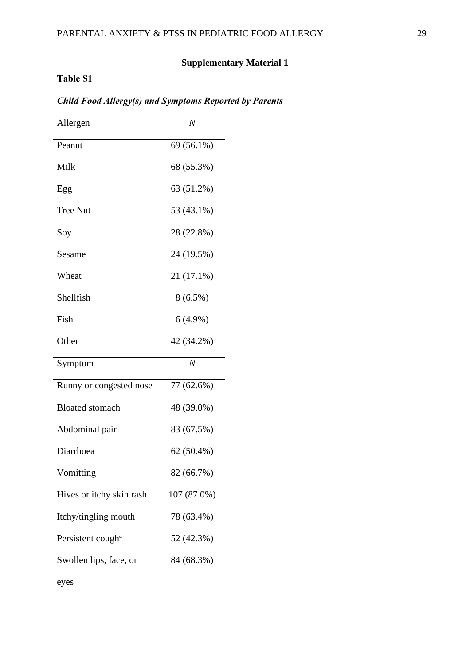## **Supplementary Material 1**

## **Table S1**

eyes

| Allergen                      | $\overline{N}$ |
|-------------------------------|----------------|
| Peanut                        | 69 (56.1%)     |
| Milk                          | 68 (55.3%)     |
| Egg                           | 63 (51.2%)     |
| <b>Tree Nut</b>               | 53 (43.1%)     |
| Soy                           | 28 (22.8%)     |
| Sesame                        | 24 (19.5%)     |
| Wheat                         | 21 (17.1%)     |
| Shellfish                     | $8(6.5\%)$     |
| Fish                          | $6(4.9\%)$     |
| Other                         | 42 (34.2%)     |
| Symptom                       | N              |
| Runny or congested nose       | 77 (62.6%)     |
| <b>Bloated</b> stomach        | 48 (39.0%)     |
| Abdominal pain                | 83 (67.5%)     |
| Diarrhoea                     | 62 (50.4%)     |
| Vomitting                     | 82 (66.7%)     |
| Hives or itchy skin rash      | 107 (87.0%)    |
| Itchy/tingling mouth          | 78 (63.4%)     |
| Persistent cough <sup>a</sup> | 52 (42.3%)     |
| Swollen lips, face, or        | 84 (68.3%)     |
|                               |                |

## *Child Food Allergy(s) and Symptoms Reported by Parents*